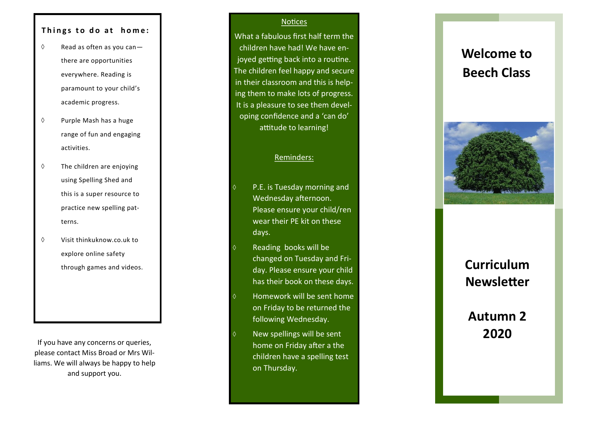# Things to do at home:

- $\Diamond$  Read as often as you canthere are opportunities everywhere. Reading is paramount to your child 's academic progress.
- $\Diamond$  Purple Mash has a huge range of fun and engaging activities.
- $\Diamond$  The children are enjoying using Spelling Shed and this is a super resource to practice new spelling patterns.
- $\Diamond$  Visit thinkuknow.co.uk to explore online safety through games and videos.

If you have any concerns or queries, please contact Miss Broad or Mrs Williams. We will always be happy to help and support you.

### **Notices**

What a fabulous first half term the children have had! We have enjoyed getting back into a routine. The children feel happy and secure in their classroom and this is helping them to make lots of progress. It is a pleasure to see them developing confidence and a 'can do' attitude to learning!

# Reminders:

- P.E. is Tuesday morning and Wednesday afternoon. Please ensure your child/ren wear their PE kit on these days.
- Reading books will be changed on Tuesday and Friday. Please ensure your child has their book on these days.
- Homework will be sent home on Friday to be returned the following Wednesday.
- New spellings will be sent home on Friday after a the children have a spelling test on Thursday.

# **Welcome to Beech Class**



# **Curriculum Newsletter**

# **Autumn 2 2020**